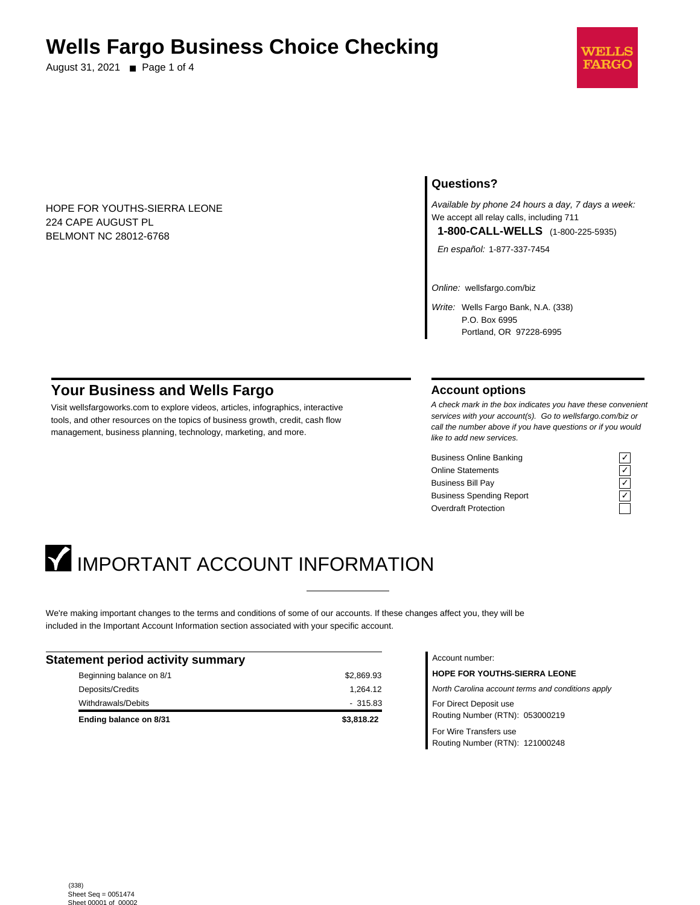## **Wells Fargo Business Choice Checking**

August 31, 2021 ■ Page 1 of 4



HOPE FOR YOUTHS-SIERRA LEONE 224 CAPE AUGUST PL BELMONT NC 28012-6768

## **Questions?**

Available by phone 24 hours a day, 7 days a week: We accept all relay calls, including 711 **1-800-CALL-WELLS** (1-800-225-5935)

En español: 1-877-337-7454

Online: wellsfargo.com/biz

Write: Wells Fargo Bank, N.A. (338) P.O. Box 6995 Portland, OR 97228-6995

## **Your Business and Wells Fargo**

Visit wellsfargoworks.com to explore videos, articles, infographics, interactive tools, and other resources on the topics of business growth, credit, cash flow management, business planning, technology, marketing, and more.

## **Account options**

A check mark in the box indicates you have these convenient services with your account(s). Go to wellsfargo.com/biz or call the number above if you have questions or if you would like to add new services.

Business Online Banking Online Statements Business Bill Pay Business Spending Report Overdraft Protection

| ٠ |  |
|---|--|
|   |  |
|   |  |
|   |  |

# **IMPORTANT ACCOUNT INFORMATION**

We're making important changes to the terms and conditions of some of our accounts. If these changes affect you, they will be included in the Important Account Information section associated with your specific account.

| <b>Statement period activity summary</b> |            |
|------------------------------------------|------------|
| Beginning balance on 8/1                 | \$2,869.93 |
| Deposits/Credits                         | 1.264.12   |
| Withdrawals/Debits                       | $-315.83$  |
| Ending balance on 8/31                   | \$3,818.22 |

## Account number:

**HOPE FOR YOUTHS-SIERRA LEONE** North Carolina account terms and conditions apply For Direct Deposit use Routing Number (RTN): 053000219 For Wire Transfers use

Routing Number (RTN): 121000248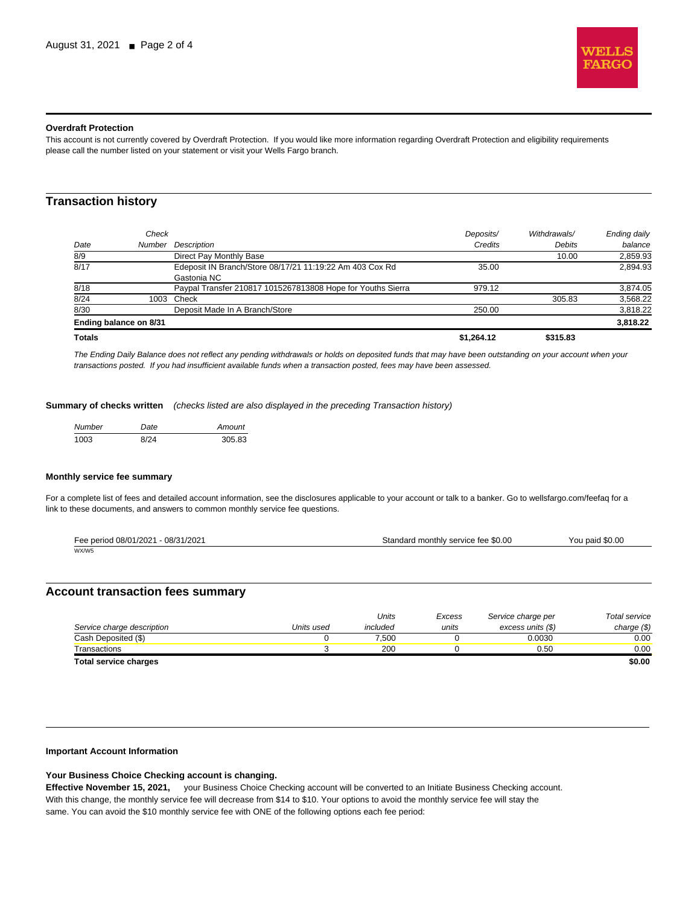

### **Overdraft Protection**

This account is not currently covered by Overdraft Protection. If you would like more information regarding Overdraft Protection and eligibility requirements please call the number listed on your statement or visit your Wells Fargo branch.

## **Transaction history**

|      | Ending balance on 8/31 |                                                             |           |               | 3.818.22     |
|------|------------------------|-------------------------------------------------------------|-----------|---------------|--------------|
| 8/30 |                        | Deposit Made In A Branch/Store                              | 250.00    |               | 3,818.22     |
| 8/24 |                        | 1003 Check                                                  |           | 305.83        | 3,568.22     |
| 8/18 |                        | Paypal Transfer 210817 1015267813808 Hope for Youths Sierra | 979.12    |               | 3,874.05     |
|      |                        | Gastonia NC                                                 |           |               |              |
| 8/17 |                        | Edeposit IN Branch/Store 08/17/21 11:19:22 Am 403 Cox Rd    | 35.00     |               | 2.894.93     |
| 8/9  |                        | Direct Pay Monthly Base                                     |           | 10.00         | 2,859.93     |
| Date | Number                 | Description                                                 | Credits   | <b>Debits</b> | balance      |
|      | Check                  |                                                             | Deposits/ | Withdrawals/  | Ending daily |
|      |                        |                                                             |           |               |              |

The Ending Daily Balance does not reflect any pending withdrawals or holds on deposited funds that may have been outstanding on your account when your transactions posted. If you had insufficient available funds when a transaction posted, fees may have been assessed.

**Summary of checks written** (checks listed are also displayed in the preceding Transaction history)

| <b>Number</b> | Date | Amount |
|---------------|------|--------|
| 1003          | 8/24 | 30583  |

#### **Monthly service fee summary**

For a complete list of fees and detailed account information, see the disclosures applicable to your account or talk to a banker. Go to wellsfargo.com/feefaq for a link to these documents, and answers to common monthly service fee questions.

| Fee period 08/01/2021 - 08/31/2021 | Standard monthly service fee \$0.00 | You paid \$0.00 |
|------------------------------------|-------------------------------------|-----------------|
| WX/W5                              |                                     |                 |

## **Account transaction fees summary**

|                              |            | Units    | Excess | Service charge per | Total service |
|------------------------------|------------|----------|--------|--------------------|---------------|
| Service charge description   | Units used | included | units  | excess units (\$)  | charge $(\$)$ |
| Cash Deposited (\$)          |            | 7.500    |        | 0.0030             | 0.00          |
| Transactions                 |            | 200      |        | 0.50               | 0.00          |
| <b>Total service charges</b> |            |          |        |                    | \$0.00        |

#### **Important Account Information**

## **Your Business Choice Checking account is changing.**

**Effective November 15, 2021,** your Business Choice Checking account will be converted to an Initiate Business Checking account. With this change, the monthly service fee will decrease from \$14 to \$10. Your options to avoid the monthly service fee will stay the same. You can avoid the \$10 monthly service fee with ONE of the following options each fee period: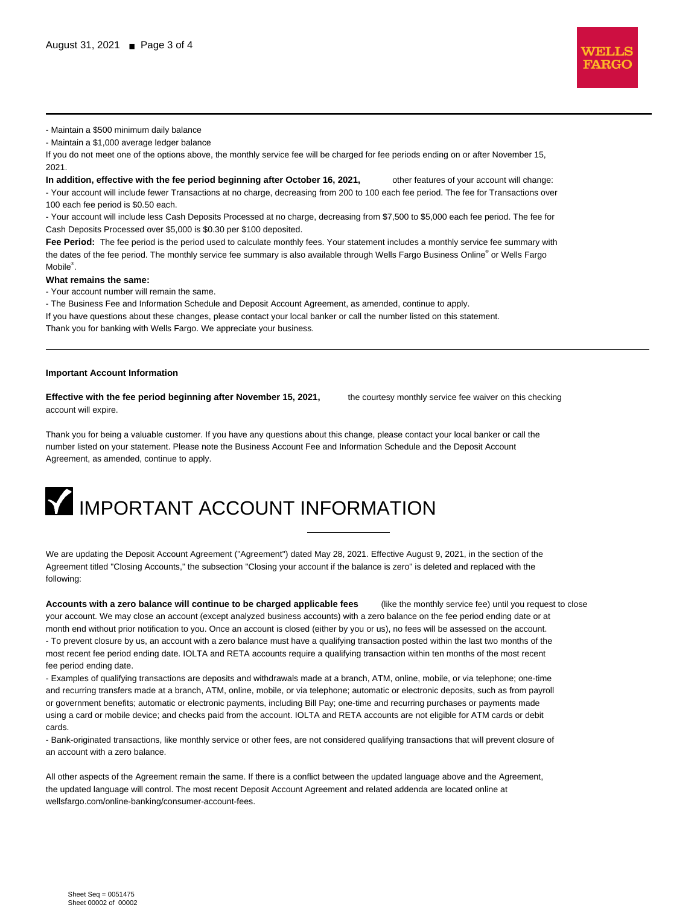

- Maintain a \$500 minimum daily balance

- Maintain a \$1,000 average ledger balance

If you do not meet one of the options above, the monthly service fee will be charged for fee periods ending on or after November 15, 2021.

**In addition, effective with the fee period beginning after October 16, 2021,** other features of your account will change: - Your account will include fewer Transactions at no charge, decreasing from 200 to 100 each fee period. The fee for Transactions over 100 each fee period is \$0.50 each.

- Your account will include less Cash Deposits Processed at no charge, decreasing from \$7,500 to \$5,000 each fee period. The fee for Cash Deposits Processed over \$5,000 is \$0.30 per \$100 deposited.

**Fee Period:** The fee period is the period used to calculate monthly fees. Your statement includes a monthly service fee summary with the dates of the fee period. The monthly service fee summary is also available through Wells Fargo Business Online® or Wells Fargo Mobile<sup>®</sup>.

#### **What remains the same:**

- Your account number will remain the same.

- The Business Fee and Information Schedule and Deposit Account Agreement, as amended, continue to apply.

If you have questions about these changes, please contact your local banker or call the number listed on this statement. Thank you for banking with Wells Fargo. We appreciate your business.

#### **Important Account Information**

**Effective with the fee period beginning after November 15, 2021,** the courtesy monthly service fee waiver on this checking account will expire.

Thank you for being a valuable customer. If you have any questions about this change, please contact your local banker or call the number listed on your statement. Please note the Business Account Fee and Information Schedule and the Deposit Account Agreement, as amended, continue to apply.

## **IMPORTANT ACCOUNT INFORMATION**

We are updating the Deposit Account Agreement ("Agreement") dated May 28, 2021. Effective August 9, 2021, in the section of the Agreement titled "Closing Accounts," the subsection "Closing your account if the balance is zero" is deleted and replaced with the following:

**Accounts with a zero balance will continue to be charged applicable fees** (like the monthly service fee) until you request to close your account. We may close an account (except analyzed business accounts) with a zero balance on the fee period ending date or at month end without prior notification to you. Once an account is closed (either by you or us), no fees will be assessed on the account. - To prevent closure by us, an account with a zero balance must have a qualifying transaction posted within the last two months of the most recent fee period ending date. IOLTA and RETA accounts require a qualifying transaction within ten months of the most recent fee period ending date.

- Examples of qualifying transactions are deposits and withdrawals made at a branch, ATM, online, mobile, or via telephone; one-time and recurring transfers made at a branch, ATM, online, mobile, or via telephone; automatic or electronic deposits, such as from payroll or government benefits; automatic or electronic payments, including Bill Pay; one-time and recurring purchases or payments made using a card or mobile device; and checks paid from the account. IOLTA and RETA accounts are not eligible for ATM cards or debit cards.

- Bank-originated transactions, like monthly service or other fees, are not considered qualifying transactions that will prevent closure of an account with a zero balance.

All other aspects of the Agreement remain the same. If there is a conflict between the updated language above and the Agreement, the updated language will control. The most recent Deposit Account Agreement and related addenda are located online at wellsfargo.com/online-banking/consumer-account-fees.